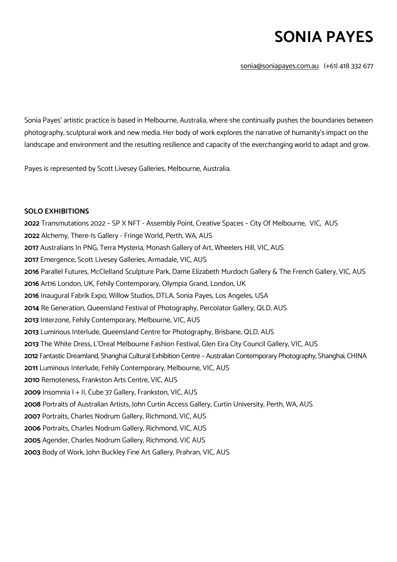# **SONIA PAYES**

sonia@soniapayes.com.au (+61) 418 332 677

Sonia Payes' artistic practice is based in Melbourne, Australia, where she continually pushes the boundaries between photography, sculptural work and new media. Her body of work explores the narrative of humanity's impact on the landscape and environment and the resulting resilience and capacity of the everchanging world to adapt and grow.

Payes is represented by Scott Livesey Galleries, Melbourne, Australia.

# **SOLO EXHIBITIONS**

Transmutations 2022 – SP X NFT - Assembly Point, Creative Spaces – City Of Melbourne, VIC, AUS Alchemy, There-Is Gallery - Fringe World, Perth, WA, AUS Australians In PNG, Terra Mysteria, Monash Gallery of Art, Wheelers Hill, VIC, AUS Emergence, Scott Livesey Galleries, Armadale, VIC, AUS Parallel Futures, McClelland Sculpture Park, Dame Elizabeth Murdoch Gallery & The French Gallery, VIC, AUS Art16 London, UK, Fehily Contemporary, Olympia Grand, London, UK Inaugural Fabrik Expo, Willow Studios, DTLA, Sonia Payes, Los Angeles, USA Re Generation, Queensland Festival of Photography, Percolator Gallery, QLD, AUS Interzone, Fehily Contemporary, Melbourne, VIC, AUS Luminous Interlude, Queensland Centre for Photography, Brisbane, QLD, AUS The White Dress, L'Oreal Melbourne Fashion Festival, Glen Eira City Council Gallery, VIC, AUS Fantastic Dreamland, Shanghai Cultural Exhibition Centre – Australian Contemporary Photography, Shanghai, CHINA Luminous Interlude, Fehily Contemporary, Melbourne, VIC, AUS Remoteness, Frankston Arts Centre, VIC, AUS Insomnia I + II, Cube 37 Gallery, Frankston, VIC, AUS Portraits of Australian Artists, John Curtin Access Gallery, Curtin University, Perth, WA, AUS Portraits, Charles Nodrum Gallery, Richmond, VIC, AUS Portraits, Charles Nodrum Gallery, Richmond, VIC, AUS Agender, Charles Nodrum Gallery, Richmond, VIC AUS Body of Work, John Buckley Fine Art Gallery, Prahran, VIC, AUS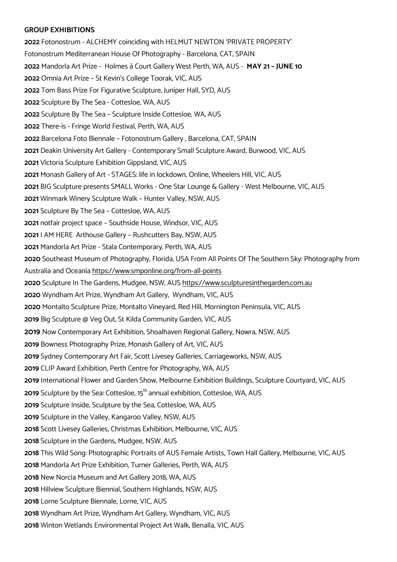# **GROUP EXHIBITIONS**

 Fotonostrum - ALCHEMY coinciding with HELMUT NEWTON 'PRIVATE PROPERTY' Fotonostrum Mediterranean House Of Photography - Barcelona, CAT, SPAIN Mandorla Art Prize - Holmes à Court Gallery West Perth, WA, AUS - **MAY 21 – JUNE 10** Omnia Art Prize – St Kevin's College Toorak, VIC, AUS Tom Bass Prize For Figurative Sculpture, Juniper Hall, SYD, AUS Sculpture By The Sea - Cottesloe, WA, AUS Sculpture By The Sea – Sculpture Inside Cottesloe, WA, AUS There-is - Fringe World Festival, Perth, WA, AUS Barcelona Foto Biennale – Fotonostrum Gallery , Barcelona, CAT, SPAIN Deakin University Art Gallery - Contemporary Small Sculpture Award, Burwood, VIC, AUS Victoria Sculpture Exhibition Gippsland, VIC, AUS Monash Gallery of Art - STAGES: life in lockdown, Online, Wheelers Hill, VIC, AUS BIG Sculpture presents SMALL Works - One Star Lounge & Gallery - West Melbourne, VIC, AUS Winmark Winery Sculpture Walk – Hunter Valley, NSW, AUS Sculpture By The Sea – Cottesloe, WA, AUS notfair project space – Southside House, Windsor, VIC, AUS I AM HEREArthouse Gallery – Rushcutters Bay, NSW, AUS Mandorla Art Prize - Stala Contemporary, Perth, WA, AUS Southeast Museum of Photography, Florida, USA From All Points Of The Southern Sky: Photography from Australia and Oceania https://www.smponline.org/from-all-points Sculpture In The Gardens, Mudgee, NSW, AUS https://www.sculpturesinthegarden.com.au Wyndham Art Prize, Wyndham Art Gallery, Wyndham, VIC, AUS Montalto Sculpture Prize, Montalto Vineyard, Red Hill, Mornington Peninsula, VIC, AUS Big Sculpture @ Veg Out, St Kilda Community Garden, VIC, AUS Now Contemporary Art Exhibition, Shoalhaven Regional Gallery, Nowra, NSW, AUS Bowness Photography Prize, Monash Gallery of Art, VIC, AUS Sydney Contemporary Art Fair, Scott Livesey Galleries, Carriageworks, NSW, AUS CLIP Award Exhibition, Perth Centre for Photography, WA, AUS International Flower and Garden Show, Melbourne Exhibition Buildings, Sculpture Courtyard, VIC, AUS Sculpture by the Sea: Cottesloe, 15<sup>th</sup> annual exhibition, Cottesloe, WA, AUS Sculpture Inside, Sculpture by the Sea, Cottesloe, WA, AUS Sculpture in the Valley, Kangaroo Valley, NSW, AUS Scott Livesey Galleries, Christmas Exhibition, Melbourne, VIC, AUS Sculpture in the Gardens, Mudgee, NSW, AUS This Wild Song: Photographic Portraits of AUS Female Artists, Town Hall Gallery, Melbourne, VIC, AUS Mandorla Art Prize Exhibition, Turner Galleries, Perth, WA, AUS New Norcia Museum and Art Gallery 2018, WA, AUS Hillview Sculpture Biennial, Southern Highlands, NSW, AUS Lorne Sculpture Biennale, Lorne, VIC, AUS Wyndham Art Prize, Wyndham Art Gallery, Wyndham, VIC, AUS Winton Wetlands Environmental Project Art Walk, Benalla, VIC, AUS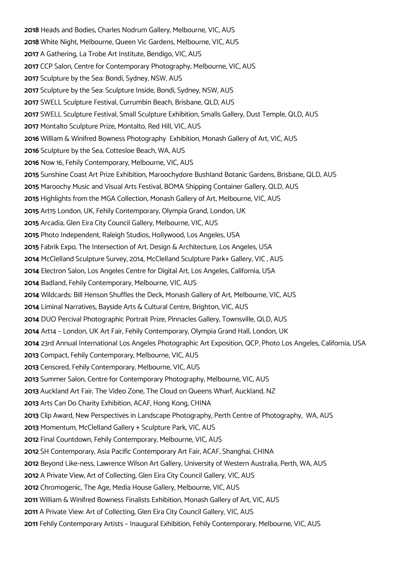Heads and Bodies, Charles Nodrum Gallery, Melbourne, VIC, AUS White Night, Melbourne, Queen Vic Gardens, Melbourne, VIC, AUS A Gathering, La Trobe Art Institute, Bendigo, VIC, AUS CCP Salon, Centre for Contemporary Photography, Melbourne, VIC, AUS Sculpture by the Sea: Bondi, Sydney, NSW, AUS Sculpture by the Sea: Sculpture Inside, Bondi, Sydney, NSW, AUS SWELL Sculpture Festival, Currumbin Beach, Brisbane, QLD, AUS SWELL Sculpture Festival, Small Sculpture Exhibition, Smalls Gallery, Dust Temple, QLD, AUS Montalto Sculpture Prize, Montalto, Red Hill, VIC, AUS William & Winifred Bowness Photography Exhibition, Monash Gallery of Art, VIC, AUS Sculpture by the Sea, Cottesloe Beach, WA, AUS Now 16, Fehily Contemporary, Melbourne, VIC, AUS Sunshine Coast Art Prize Exhibition, Maroochydore Bushland Botanic Gardens, Brisbane, QLD, AUS Maroochy Music and Visual Arts Festival, BOMA Shipping Container Gallery, QLD, AUS Highlights from the MGA Collection, Monash Gallery of Art, Melbourne, VIC, AUS Art15 London, UK, Fehily Contemporary, Olympia Grand, London, UK Arcadia, Glen Eira City Council Gallery, Melbourne, VIC, AUS Photo Independent, Raleigh Studios, Hollywood, Los Angeles, USA Fabrik Expo, The Intersection of Art, Design & Architecture, Los Angeles, USA McClelland Sculpture Survey, 2014, McClelland Sculpture Park+ Gallery, VIC , AUS Electron Salon, Los Angeles Centre for Digital Art, Los Angeles, California, USA Badland, Fehily Contemporary, Melbourne, VIC, AUS Wildcards: Bill Henson Shuffles the Deck, Monash Gallery of Art, Melbourne, VIC, AUS Liminal Narratives, Bayside Arts & Cultural Centre, Brighton, VIC, AUS DUO Percival Photographic Portrait Prize, Pinnacles Gallery, Townsville, QLD, AUS Art14 – London, UK Art Fair, Fehily Contemporary, Olympia Grand Hall, London, UK 23rd Annual International Los Angeles Photographic Art Exposition, QCP, Photo Los Angeles, California, USA Compact, Fehily Contemporary, Melbourne, VIC, AUS Censored, Fehily Contemporary, Melbourne, VIC, AUS Summer Salon, Centre for Contemporary Photography, Melbourne, VIC, AUS Auckland Art Fair, The Video Zone, The Cloud on Queens Wharf, Auckland, NZ Arts Can Do Charity Exhibition, ACAF, Hong Kong, CHINA Clip Award, New Perspectives in Landscape Photography, Perth Centre of Photography, WA, AUS Momentum, McClelland Gallery + Sculpture Park, VIC, AUS Final Countdown, Fehily Contemporary, Melbourne, VIC, AUS SH Contemporary, Asia Pacific Contemporary Art Fair, ACAF, Shanghai, CHINA Beyond Like-ness, Lawrence Wilson Art Gallery, University of Western Australia, Perth, WA, AUS A Private View, Art of Collecting, Glen Eira City Council Gallery, VIC, AUS Chromogenic, The Age, Media House Gallery, Melbourne, VIC, AUS William & Winifred Bowness Finalists Exhibition, Monash Gallery of Art, VIC, AUS A Private View: Art of Collecting, Glen Eira City Council Gallery, VIC, AUS Fehily Contemporary Artists – Inaugural Exhibition, Fehily Contemporary, Melbourne, VIC, AUS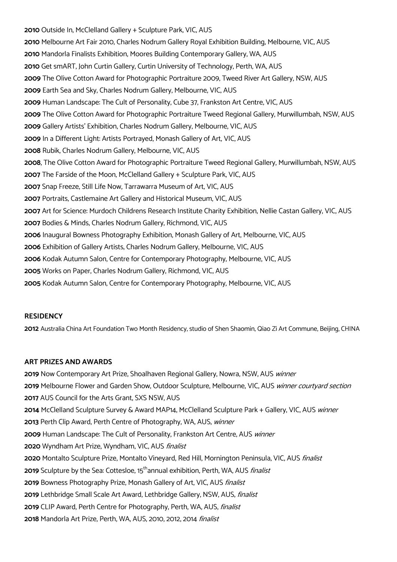Outside In, McClelland Gallery + Sculpture Park, VIC, AUS Melbourne Art Fair 2010, Charles Nodrum Gallery Royal Exhibition Building, Melbourne, VIC, AUS Mandorla Finalists Exhibition, Moores Building Contemporary Gallery, WA, AUS Get smART, John Curtin Gallery, Curtin University of Technology, Perth, WA, AUS The Olive Cotton Award for Photographic Portraiture 2009, Tweed River Art Gallery, NSW, AUS Earth Sea and Sky, Charles Nodrum Gallery, Melbourne, VIC, AUS Human Landscape: The Cult of Personality, Cube 37, Frankston Art Centre, VIC, AUS The Olive Cotton Award for Photographic Portraiture Tweed Regional Gallery, Murwillumbah, NSW, AUS Gallery Artists' Exhibition, Charles Nodrum Gallery, Melbourne, VIC, AUS In a Different Light: Artists Portrayed, Monash Gallery of Art, VIC, AUS Rubik, Charles Nodrum Gallery, Melbourne, VIC, AUS , The Olive Cotton Award for Photographic Portraiture Tweed Regional Gallery, Murwillumbah, NSW, AUS The Farside of the Moon, McClelland Gallery + Sculpture Park, VIC, AUS Snap Freeze, Still Life Now, Tarrawarra Museum of Art, VIC, AUS Portraits, Castlemaine Art Gallery and Historical Museum, VIC, AUS Art for Science: Murdoch Childrens Research Institute Charity Exhibition, Nellie Castan Gallery, VIC, AUS Bodies & Minds, Charles Nodrum Gallery, Richmond, VIC, AUS Inaugural Bowness Photography Exhibition, Monash Gallery of Art, Melbourne, VIC, AUS Exhibition of Gallery Artists, Charles Nodrum Gallery, Melbourne, VIC, AUS Kodak Autumn Salon, Centre for Contemporary Photography, Melbourne, VIC, AUS Works on Paper, Charles Nodrum Gallery, Richmond, VIC, AUS Kodak Autumn Salon, Centre for Contemporary Photography, Melbourne, VIC, AUS

#### **RESIDENCY**

Australia China Art Foundation Two Month Residency, studio of Shen Shaomin, Qiao Zi Art Commune, Beijing, CHINA

#### **ART PRIZES AND AWARDS**

 Now Contemporary Art Prize, Shoalhaven Regional Gallery, Nowra, NSW, AUS winner Melbourne Flower and Garden Show, Outdoor Sculpture, Melbourne, VIC, AUS winner courtyard section AUS Council for the Arts Grant, SXS NSW, AUS McClelland Sculpture Survey & Award MAP14, McClelland Sculpture Park + Gallery, VIC, AUS winner Perth Clip Award, Perth Centre of Photography, WA, AUS, winner Human Landscape: The Cult of Personality, Frankston Art Centre, AUS winner Wyndham Art Prize, Wyndham, VIC, AUS finalist 2020 Montalto Sculpture Prize, Montalto Vineyard, Red Hill, Mornington Peninsula, VIC, AUS finalist Sculpture by the Sea: Cottesloe, 15<sup>th</sup>annual exhibition, Perth, WA, AUS *finalist* 2019 Bowness Photography Prize, Monash Gallery of Art, VIC, AUS *finalist*  Lethbridge Small Scale Art Award, Lethbridge Gallery, NSW, AUS, finalist CLIP Award, Perth Centre for Photography, Perth, WA, AUS, finalist Mandorla Art Prize, Perth, WA, AUS, 2010, 2012, 2014 finalist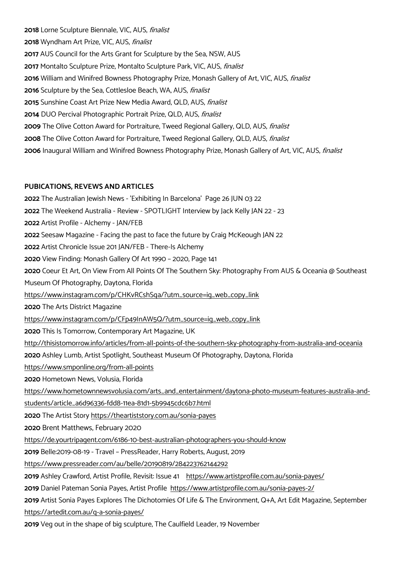Lorne Sculpture Biennale, VIC, AUS, finalist Wyndham Art Prize, VIC, AUS, finalist AUS Council for the Arts Grant for Sculpture by the Sea, NSW, AUS Montalto Sculpture Prize, Montalto Sculpture Park, VIC, AUS, finalist William and Winifred Bowness Photography Prize, Monash Gallery of Art, VIC, AUS, finalist Sculpture by the Sea, Cottlesloe Beach, WA, AUS, finalist Sunshine Coast Art Prize New Media Award, QLD, AUS, finalist DUO Percival Photographic Portrait Prize, QLD, AUS, finalist The Olive Cotton Award for Portraiture, Tweed Regional Gallery, QLD, AUS, finalist The Olive Cotton Award for Portraiture, Tweed Regional Gallery, QLD, AUS, finalist Inaugural William and Winifred Bowness Photography Prize, Monash Gallery of Art, VIC, AUS, finalist

#### **PUBICATIONS, REVEWS AND ARTICLES**

The Australian Jewish News - 'Exhibiting In Barcelona' Page 26 JUN 03 22 The Weekend Australia - Review - SPOTLIGHT Interview by Jack Kelly JAN 22 - 23 Artist Profile - Alchemy - JAN/FEB Seesaw Magazine - Facing the past to face the future by Craig McKeough JAN 22 Artist Chronicle Issue 201 JAN/FEB - There-Is Alchemy View Finding: Monash Gallery Of Art 1990 – 2020, Page 141 Coeur Et Art, On View From All Points Of The Southern Sky: Photography From AUS & Oceania @ Southeast Museum Of Photography, Daytona, Florida https://www.instagram.com/p/CHKvRCshSqa/?utm\_source=ig\_web\_copy\_link The Arts District Magazine https://www.instagram.com/p/CFp49InAW5Q/?utm\_source=ig\_web\_copy\_link This Is Tomorrow, Contemporary Art Magazine, UK http://thisistomorrow.info/articles/from-all-points-of-the-southern-sky-photography-from-australia-and-oceania Ashley Lumb, Artist Spotlight, Southeast Museum Of Photography, Daytona, Florida https://www.smponline.org/from-all-points Hometown News, Volusia, Florida https://www.hometownnewsvolusia.com/arts\_and\_entertainment/daytona-photo-museum-features-australia-andstudents/article\_a6d96336-fdd8-11ea-81d1-5b9945cdc6b7.html The Artist Story https://theartiststory.com.au/sonia-payes Brent Matthews, February 2020 https://de.yourtripagent.com/6186-10-best-australian-photographers-you-should-know Belle:2019-08-19 - Travel – PressReader, Harry Roberts, August, 2019 https://www.pressreader.com/au/belle/20190819/284223762144292 Ashley Crawford, Artist Profile, Revisit: Issue 41 https://www.artistprofile.com.au/sonia-payes/ Daniel Pateman Sonia Payes, Artist Profile https://www.artistprofile.com.au/sonia-payes-2/ Artist Sonia Payes Explores The Dichotomies Of Life & The Environment, Q+A, Art Edit Magazine, September https://artedit.com.au/q-a-sonia-payes/

Veg out in the shape of big sculpture, The Caulfield Leader, 19 November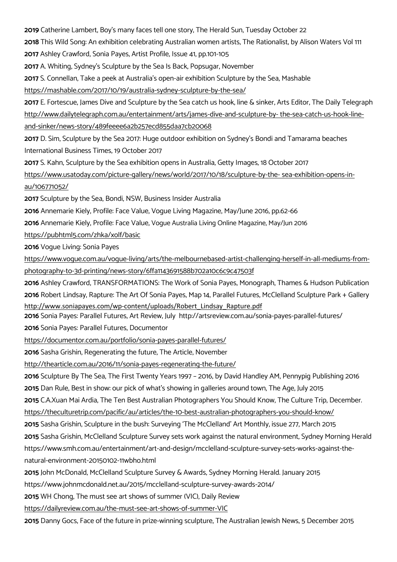**2019** Catherine Lambert, Boy's many faces tell one story, The Herald Sun, Tuesday October 22

**2018** This Wild Song: An exhibition celebrating Australian women artists, The Rationalist, by Alison Waters Vol 111 **2017** Ashley Crawford, Sonia Payes, Artist Profile, Issue 41, pp.101-105

**2017** A. Whiting, Sydney's Sculpture by the Sea Is Back, Popsugar, November

**2017** S. Connellan, Take a peek at Australia's open-air exhibition Sculpture by the Sea, Mashable

https://mashable.com/2017/10/19/australia-sydney-sculpture-by-the-sea/

**2017** E. Fortescue, James Dive and Sculpture by the Sea catch us hook, line & sinker, Arts Editor, The Daily Telegraph

http://www.dailytelegraph.com.au/entertainment/arts/james-dive-and-sculpture-by- the-sea-catch-us-hook-line-

and-sinker/news-story/489feeee6a2b257ecd855daa7cb20068

**2017** D. Sim, Sculpture by the Sea 2017: Huge outdoor exhibition on Sydney's Bondi and Tamarama beaches International Business Times, 19 October 2017

**2017** S. Kahn, Sculpture by the Sea exhibition opens in Australia, Getty Images, 18 October 2017

https://www.usatoday.com/picture-gallery/news/world/2017/10/18/sculpture-by-the- sea-exhibition-opens-inau/106771052/

**2017** Sculpture by the Sea, Bondi, NSW, Business Insider Australia

**2016** Annemarie Kiely, Profile: Face Value, Vogue Living Magazine, May/June 2016, pp.62-66

**2016** Annemarie Kiely, Profile: Face Value, Vogue Australia Living Online Magazine, May/Jun 2016

https://pubhtml5.com/zhka/xolf/basic

**2016** Vogue Living: Sonia Payes

https://www.vogue.com.au/vogue-living/arts/the-melbournebased-artist-challenging-herself-in-all-mediums-fromphotography-to-3d-printing/news-story/6ffa1143691588b702a10c6c9c47503f

**2016** Ashley Crawford, TRANSFORMATIONS: The Work of Sonia Payes, Monograph, Thames & Hudson Publication **2016** Robert Lindsay, Rapture: The Art Of Sonia Payes, Map 14, Parallel Futures, McClelland Sculpture Park + Gallery http://www.soniapayes.com/wp-content/uploads/Robert\_Lindsay\_Rapture.pdf

**2016** Sonia Payes: Parallel Futures, Art Review, July http://artsreview.com.au/sonia-payes-parallel-futures/

**2016** Sonia Payes: Parallel Futures, Documentor

https://documentor.com.au/portfolio/sonia-payes-parallel-futures/

**2016** Sasha Grishin, Regenerating the future, The Article, November

http://thearticle.com.au/2016/11/sonia-payes-regenerating-the-future/

**2016** Sculpture By The Sea, The First Twenty Years 1997 – 2016, by David Handley AM, Pennypig Publishing 2016

**2015** Dan Rule, Best in show: our pick of what's showing in galleries around town, The Age, July 2015

**2015** C.A.Xuan Mai Ardia, The Ten Best Australian Photographers You Should Know, The Culture Trip, December.

https://theculturetrip.com/pacific/au/articles/the-10-best-australian-photographers-you-should-know/

**2015** Sasha Grishin, Sculpture in the bush: Surveying 'The McClelland' Art Monthly, issue 277, March 2015

**2015** Sasha Grishin, McClelland Sculpture Survey sets work against the natural environment, Sydney Morning Herald

https://www.smh.com.au/entertainment/art-and-design/mcclelland-sculpture-survey-sets-works-against-thenatural-environment-20150102-11wbho.html

**2015** John McDonald, McClelland Sculpture Survey & Awards, Sydney Morning Herald. January 2015

https://www.johnmcdonald.net.au/2015/mcclelland-sculpture-survey-awards-2014/

**2015** WH Chong, The must see art shows of summer (VIC), Daily Review

https://dailyreview.com.au/the-must-see-art-shows-of-summer-VIC

**2015** Danny Gocs, Face of the future in prize-winning sculpture, The Australian Jewish News, 5 December 2015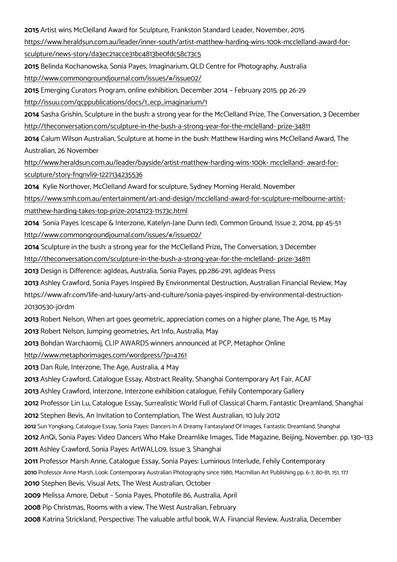Artist wins McClelland Award for Sculpture, Frankston Standard Leader, November, 2015

https://www.heraldsun.com.au/leader/inner-south/artist-matthew-harding-wins-100k-mcclelland-award-for-

sculpture/news-story/da3ec21acce31bc4813be0fdc58c73c5

 Belinda Kochanowska, Sonia Payes, Imaginarium, QLD Centre for Photography, Australia http://www.commongroundjournal.com/issues/#/issue02/

Emerging Curators Program, online exhibition, December 2014 – February 2015. pp 26-29

http://issuu.com/qcppublications/docs/1\_ecp\_imaginarium/1

 Sasha Grishin, Sculpture in the bush: a strong year for the McClelland Prize, The Conversation, 3 December http://theconversation.com/sculpture-in-the-bush-a-strong-year-for-the-mclelland- prize-34811

 Calum Wilson Australian, Sculpture at home in the bush: Matthew Harding wins McClelland Award, The Australian, 26 November

http://www.heraldsun.com.au/leader/bayside/artist-matthew-harding-wins-100k- mcclelland- award-forsculpture/story-fngnvli9-1227134235536

Kylie Northover, McClelland Award for sculpture, Sydney Morning Herald, November

https://www.smh.com.au/entertainment/art-and-design/mcclelland-award-for-sculpture-melbourne-artistmatthew-harding-takes-top-prize-20141123-11s73c.html

 Sonia Payes Icescape & Interzone, Katelyn-Jane Dunn (ed), Common Ground, Issue 2, 2014, pp 45-51 http://www.commongroundjournal.com/issues/#/issue02/

 Sculpture in the bush: a strong year for the McClelland Prize**,** The Conversation, 3 December http://theconversation.com/sculpture-in-the-bush-a-strong-year-for-the-mclelland- prize-34811

Design is Difference: agIdeas, Australia, Sonia Payes, pp.286-291, agIdeas Press

 Ashley Crawford, Sonia Payes Inspired By Environmental Destruction, Australian Financial Review, May https://www.afr.com/life-and-luxury/arts-and-culture/sonia-payes-inspired-by-environmental-destruction-20130530-j0rdm

Robert Nelson, When art goes geometric, appreciation comes on a higher plane, The Age, 15 May

Robert Nelson, Jumping geometries, Art Info, Australia, May

Bohdan Warchaomij, CLIP AWARDS winners announced at PCP, Metaphor Online

http://www.metaphorimages.com/wordpress/?p=4761

Dan Rule, Interzone, The Age, Australia, 4 May

Ashley Crawford, Catalogue Essay, Abstract Reality, Shanghai Contemporary Art Fair, ACAF

Ashley Crawford, Interzone, Interzone exhibition catalogue, Fehily Contemporary Gallery

Professor Lin Lu, Catalogue Essay, Surrealistic World Full of Classical Charm, Fantastic Dreamland, Shanghai

Stephen Bevis, An Invitation to Contemplation, The West Australian, 10 July 2012

Sun Yongkang, Catalogue Essay, Sonia Payes: Dancers In A Dreamy Fantasyland Of Images, Fantastic Dreamland, Shanghai

AnQi, Sonia Payes: Video Dancers Who Make Dreamlike Images, Tide Magazine, Beijing, November. pp. 130–133

Ashley Crawford, Sonia Payes: ArtWALL09, Issue 3, Shanghai

Professor Marsh Anne, Catalogue Essay, Sonia Payes: Luminous Interlude, Fehily Contemporary

Professor Anne Marsh, Look: Contemporary Australian Photography since 1980, Macmillan Art Publishing pp. 6-7, 80-81, 151, 177

Stephen Bevis, Visual Arts, The West Australian, October

Melissa Amore, Debut – Sonia Payes, Photofile 86, Australia, April

Pip Christmas, Rooms with a view, The West Australian, February

Katrina Strickland, Perspective: The valuable artful book, W.A. Financial Review, Australia, December